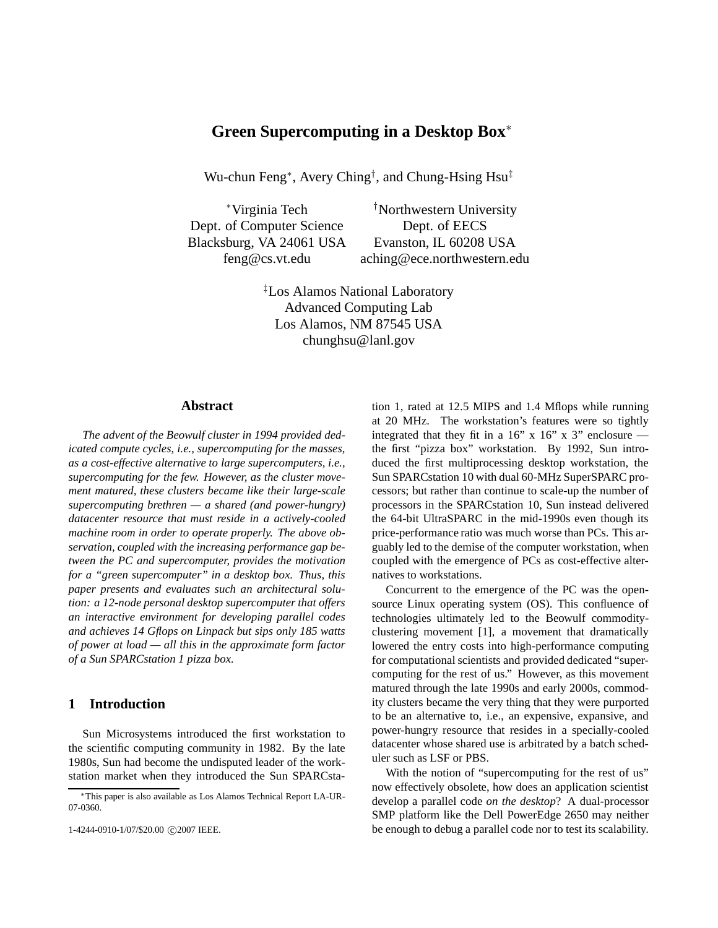# **Green Supercomputing in a Desktop Box**<sup>∗</sup>

Wu-chun Feng<sup>∗</sup>, Avery Ching<sup>†</sup>, and Chung-Hsing Hsu<sup>‡</sup>

Dept. of Computer Science Dept. of EECS Blacksburg, VA 24061 USA Evanston, IL 60208 USA

<sup>∗</sup>Virginia Tech †Northwestern University feng@cs.vt.edu aching@ece.northwestern.edu

> ‡Los Alamos National Laboratory Advanced Computing Lab Los Alamos, NM 87545 USA chunghsu@lanl.gov

#### **Abstract**

*The advent of the Beowulf cluster in 1994 provided dedicated compute cycles, i.e., supercomputing for the masses, as a cost-effective alternative to large supercomputers, i.e., supercomputing for the few. However, as the cluster movement matured, these clusters became like their large-scale supercomputing brethren — a shared (and power-hungry) datacenter resource that must reside in a actively-cooled machine room in order to operate properly. The above observation, coupled with the increasing performance gap between the PC and supercomputer, provides the motivation for a "green supercomputer" in a desktop box. Thus, this paper presents and evaluates such an architectural solution: a 12-node personal desktop supercomputer that offers an interactive environment for developing parallel codes and achieves 14 Gflops on Linpack but sips only 185 watts of power at load — all this in the approximate form factor of a Sun SPARCstation 1 pizza box.*

# **1 Introduction**

Sun Microsystems introduced the first workstation to the scientific computing community in 1982. By the late 1980s, Sun had become the undisputed leader of the workstation market when they introduced the Sun SPARCsta-

1-4244-0910-1/07/\$20.00 C 2007 IEEE.

tion 1, rated at 12.5 MIPS and 1.4 Mflops while running at 20 MHz. The workstation's features were so tightly integrated that they fit in a 16" x 16" x 3" enclosure the first "pizza box" workstation. By 1992, Sun introduced the first multiprocessing desktop workstation, the Sun SPARCstation 10 with dual 60-MHz SuperSPARC processors; but rather than continue to scale-up the number of processors in the SPARCstation 10, Sun instead delivered the 64-bit UltraSPARC in the mid-1990s even though its price-performance ratio was much worse than PCs. This arguably led to the demise of the computer workstation, when coupled with the emergence of PCs as cost-effective alternatives to workstations.

Concurrent to the emergence of the PC was the opensource Linux operating system (OS). This confluence of technologies ultimately led to the Beowulf commodityclustering movement [1], a movement that dramatically lowered the entry costs into high-performance computing for computational scientists and provided dedicated "supercomputing for the rest of us." However, as this movement matured through the late 1990s and early 2000s, commodity clusters became the very thing that they were purported to be an alternative to, i.e., an expensive, expansive, and power-hungry resource that resides in a specially-cooled datacenter whose shared use is arbitrated by a batch scheduler such as LSF or PBS.

With the notion of "supercomputing for the rest of us" now effectively obsolete, how does an application scientist develop a parallel code *on the desktop*? A dual-processor SMP platform like the Dell PowerEdge 2650 may neither be enough to debug a parallel code nor to test its scalability.

<sup>∗</sup>This paper is also available as Los Alamos Technical Report LA-UR-07-0360.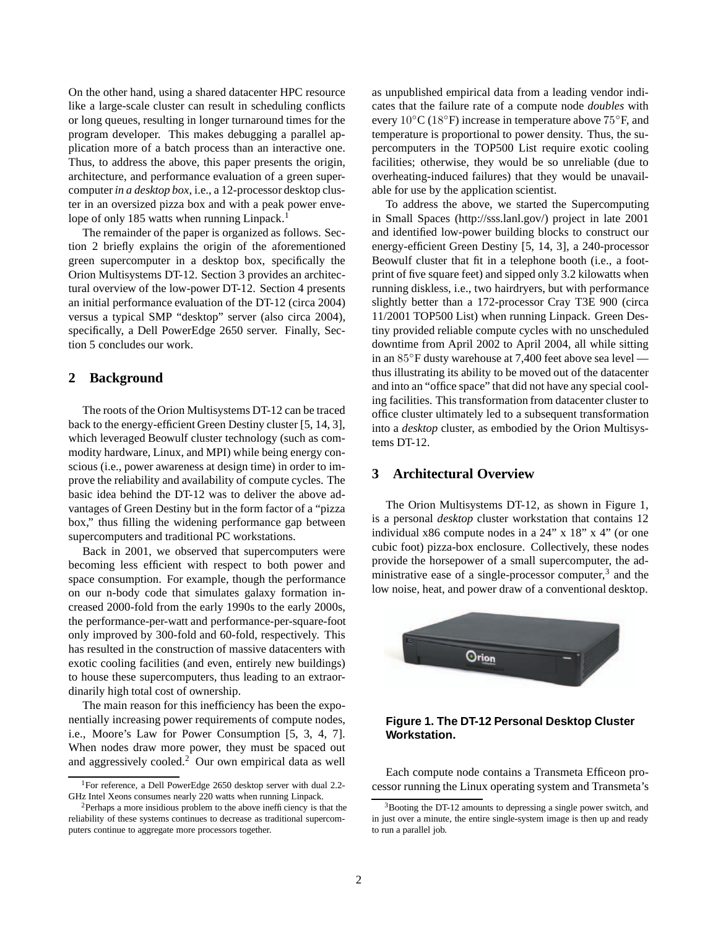On the other hand, using a shared datacenter HPC resource like a large-scale cluster can result in scheduling conflicts or long queues, resulting in longer turnaround times for the program developer. This makes debugging a parallel application more of a batch process than an interactive one. Thus, to address the above, this paper presents the origin, architecture, and performance evaluation of a green supercomputer *in a desktop box*, i.e., a 12-processor desktop cluster in an oversized pizza box and with a peak power envelope of only 185 watts when running Linpack.<sup>1</sup>

The remainder of the paper is organized as follows. Section 2 briefly explains the origin of the aforementioned green supercomputer in a desktop box, specifically the Orion Multisystems DT-12. Section 3 provides an architectural overview of the low-power DT-12. Section 4 presents an initial performance evaluation of the DT-12 (circa 2004) versus a typical SMP "desktop" server (also circa 2004), specifically, a Dell PowerEdge 2650 server. Finally, Section 5 concludes our work.

#### **2 Background**

The roots of the Orion Multisystems DT-12 can be traced back to the energy-efficient Green Destiny cluster [5, 14, 3], which leveraged Beowulf cluster technology (such as commodity hardware, Linux, and MPI) while being energy conscious (i.e., power awareness at design time) in order to improve the reliability and availability of compute cycles. The basic idea behind the DT-12 was to deliver the above advantages of Green Destiny but in the form factor of a "pizza box," thus filling the widening performance gap between supercomputers and traditional PC workstations.

Back in 2001, we observed that supercomputers were becoming less efficient with respect to both power and space consumption. For example, though the performance on our n-body code that simulates galaxy formation increased 2000-fold from the early 1990s to the early 2000s, the performance-per-watt and performance-per-square-foot only improved by 300-fold and 60-fold, respectively. This has resulted in the construction of massive datacenters with exotic cooling facilities (and even, entirely new buildings) to house these supercomputers, thus leading to an extraordinarily high total cost of ownership.

The main reason for this inefficiency has been the exponentially increasing power requirements of compute nodes, i.e., Moore's Law for Power Consumption [5, 3, 4, 7]. When nodes draw more power, they must be spaced out and aggressively cooled. $2$  Our own empirical data as well

as unpublished empirical data from a leading vendor indicates that the failure rate of a compute node *doubles* with every 10◦C (18◦F) increase in temperature above 75◦F, and temperature is proportional to power density. Thus, the supercomputers in the TOP500 List require exotic cooling facilities; otherwise, they would be so unreliable (due to overheating-induced failures) that they would be unavailable for use by the application scientist.

To address the above, we started the Supercomputing in Small Spaces (http://sss.lanl.gov/) project in late 2001 and identified low-power building blocks to construct our energy-efficient Green Destiny [5, 14, 3], a 240-processor Beowulf cluster that fit in a telephone booth (i.e., a footprint of five square feet) and sipped only 3.2 kilowatts when running diskless, i.e., two hairdryers, but with performance slightly better than a 172-processor Cray T3E 900 (circa 11/2001 TOP500 List) when running Linpack. Green Destiny provided reliable compute cycles with no unscheduled downtime from April 2002 to April 2004, all while sitting in an 85◦F dusty warehouse at 7,400 feet above sea level thus illustrating its ability to be moved out of the datacenter and into an "office space" that did not have any special cooling facilities. This transformation from datacenter cluster to office cluster ultimately led to a subsequent transformation into a *desktop* cluster, as embodied by the Orion Multisystems DT-12.

# **3 Architectural Overview**

The Orion Multisystems DT-12, as shown in Figure 1, is a personal *desktop* cluster workstation that contains 12 individual x86 compute nodes in a 24" x 18" x 4" (or one cubic foot) pizza-box enclosure. Collectively, these nodes provide the horsepower of a small supercomputer, the administrative ease of a single-processor computer,<sup>3</sup> and the low noise, heat, and power draw of a conventional desktop.



#### **Figure 1. The DT-12 Personal Desktop Cluster Workstation.**

Each compute node contains a Transmeta Efficeon processor running the Linux operating system and Transmeta's

<sup>1</sup>For reference, a Dell PowerEdge 2650 desktop server with dual 2.2- GHz Intel Xeons consumes nearly 220 watts when running Linpack.

 $2$ Perhaps a more insidious problem to the above inefficiency is that the reliability of these systems continues to decrease as traditional supercomputers continue to aggregate more processors together.

<sup>&</sup>lt;sup>3</sup>Booting the DT-12 amounts to depressing a single power switch, and in just over a minute, the entire single-system image is then up and ready to run a parallel job.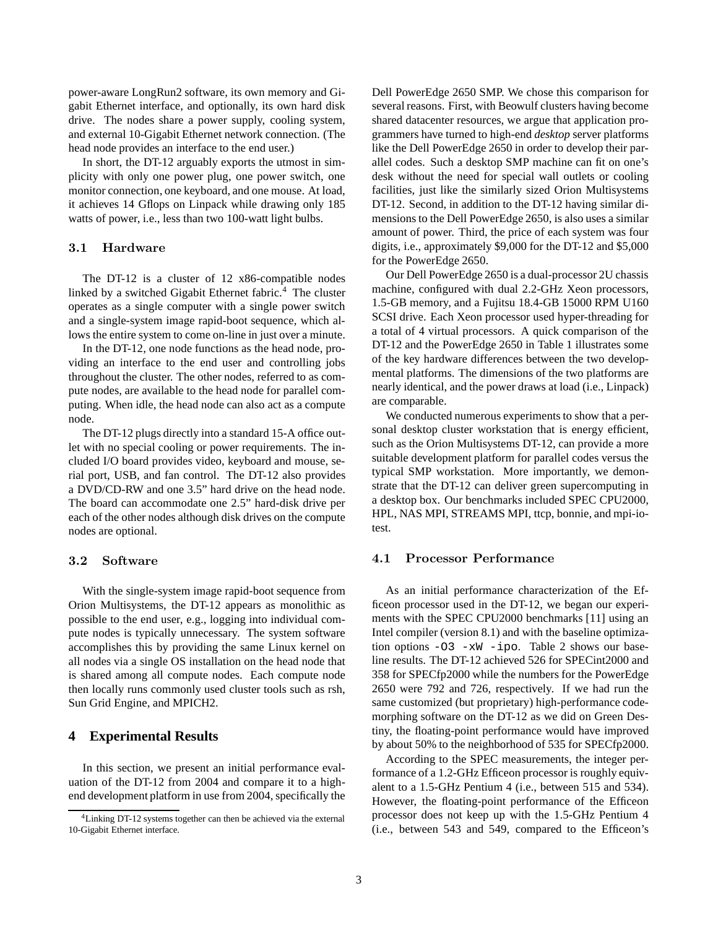power-aware LongRun2 software, its own memory and Gigabit Ethernet interface, and optionally, its own hard disk drive. The nodes share a power supply, cooling system, and external 10-Gigabit Ethernet network connection. (The head node provides an interface to the end user.)

In short, the DT-12 arguably exports the utmost in simplicity with only one power plug, one power switch, one monitor connection, one keyboard, and one mouse. At load, it achieves 14 Gflops on Linpack while drawing only 185 watts of power, i.e., less than two 100-watt light bulbs.

#### 3.1 Hardware

The DT-12 is a cluster of 12 x86-compatible nodes linked by a switched Gigabit Ethernet fabric.<sup>4</sup> The cluster operates as a single computer with a single power switch and a single-system image rapid-boot sequence, which allows the entire system to come on-line in just over a minute.

In the DT-12, one node functions as the head node, providing an interface to the end user and controlling jobs throughout the cluster. The other nodes, referred to as compute nodes, are available to the head node for parallel computing. When idle, the head node can also act as a compute node.

The DT-12 plugs directly into a standard 15-A office outlet with no special cooling or power requirements. The included I/O board provides video, keyboard and mouse, serial port, USB, and fan control. The DT-12 also provides a DVD/CD-RW and one 3.5" hard drive on the head node. The board can accommodate one 2.5" hard-disk drive per each of the other nodes although disk drives on the compute nodes are optional.

#### 3.2 Software

With the single-system image rapid-boot sequence from Orion Multisystems, the DT-12 appears as monolithic as possible to the end user, e.g., logging into individual compute nodes is typically unnecessary. The system software accomplishes this by providing the same Linux kernel on all nodes via a single OS installation on the head node that is shared among all compute nodes. Each compute node then locally runs commonly used cluster tools such as rsh, Sun Grid Engine, and MPICH2.

#### **4 Experimental Results**

In this section, we present an initial performance evaluation of the DT-12 from 2004 and compare it to a highend development platform in use from 2004, specifically the Dell PowerEdge 2650 SMP. We chose this comparison for several reasons. First, with Beowulf clusters having become shared datacenter resources, we argue that application programmers have turned to high-end *desktop* server platforms like the Dell PowerEdge 2650 in order to develop their parallel codes. Such a desktop SMP machine can fit on one's desk without the need for special wall outlets or cooling facilities, just like the similarly sized Orion Multisystems DT-12. Second, in addition to the DT-12 having similar dimensions to the Dell PowerEdge 2650, is also uses a similar amount of power. Third, the price of each system was four digits, i.e., approximately \$9,000 for the DT-12 and \$5,000 for the PowerEdge 2650.

Our Dell PowerEdge 2650 is a dual-processor 2U chassis machine, configured with dual 2.2-GHz Xeon processors, 1.5-GB memory, and a Fujitsu 18.4-GB 15000 RPM U160 SCSI drive. Each Xeon processor used hyper-threading for a total of 4 virtual processors. A quick comparison of the DT-12 and the PowerEdge 2650 in Table 1 illustrates some of the key hardware differences between the two developmental platforms. The dimensions of the two platforms are nearly identical, and the power draws at load (i.e., Linpack) are comparable.

We conducted numerous experiments to show that a personal desktop cluster workstation that is energy efficient, such as the Orion Multisystems DT-12, can provide a more suitable development platform for parallel codes versus the typical SMP workstation. More importantly, we demonstrate that the DT-12 can deliver green supercomputing in a desktop box. Our benchmarks included SPEC CPU2000, HPL, NAS MPI, STREAMS MPI, ttcp, bonnie, and mpi-iotest.

#### 4.1 Processor Performance

As an initial performance characterization of the Efficeon processor used in the DT-12, we began our experiments with the SPEC CPU2000 benchmarks [11] using an Intel compiler (version 8.1) and with the baseline optimization options -O3 -xW -ipo. Table 2 shows our baseline results. The DT-12 achieved 526 for SPECint2000 and 358 for SPECfp2000 while the numbers for the PowerEdge 2650 were 792 and 726, respectively. If we had run the same customized (but proprietary) high-performance codemorphing software on the DT-12 as we did on Green Destiny, the floating-point performance would have improved by about 50% to the neighborhood of 535 for SPECfp2000.

According to the SPEC measurements, the integer performance of a 1.2-GHz Efficeon processor is roughly equivalent to a 1.5-GHz Pentium 4 (i.e., between 515 and 534). However, the floating-point performance of the Efficeon processor does not keep up with the 1.5-GHz Pentium 4 (i.e., between 543 and 549, compared to the Efficeon's

<sup>4</sup>Linking DT-12 systems together can then be achieved via the external 10-Gigabit Ethernet interface.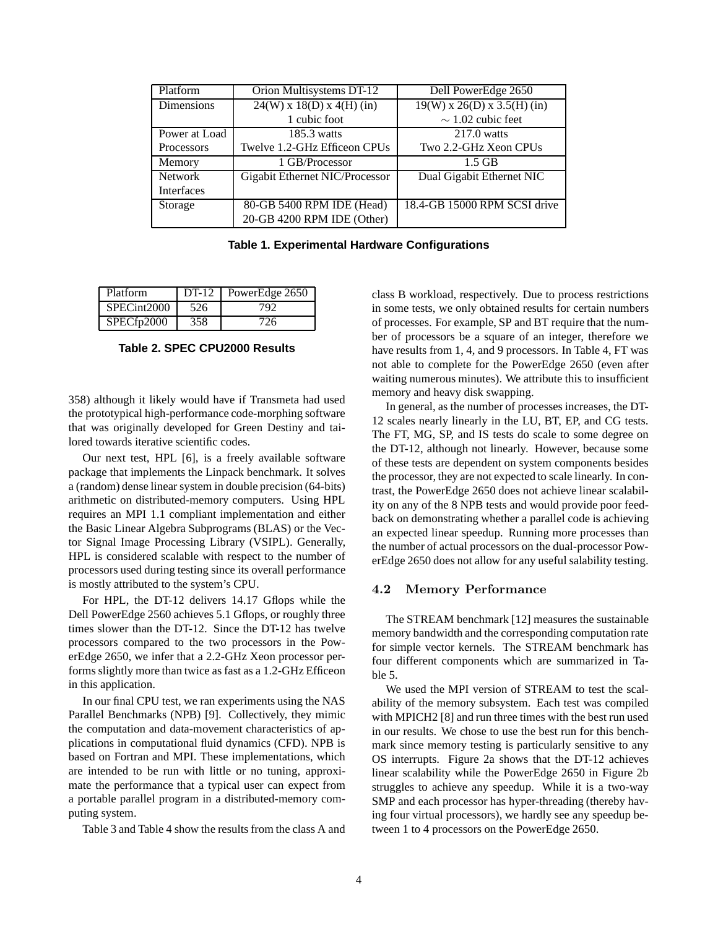| Platform       | Orion Multisystems DT-12                     | Dell PowerEdge 2650           |
|----------------|----------------------------------------------|-------------------------------|
| Dimensions     | $\sqrt{24(W) \times 18(D)} \times 4(H)$ (in) | $19(W)$ x 26(D) x 3.5(H) (in) |
|                | 1 cubic foot                                 | $\sim$ 1.02 cubic feet        |
| Power at Load  | 185.3 watts                                  | $217.0$ watts                 |
| Processors     | Twelve 1.2-GHz Efficeon CPUs                 | Two 2.2-GHz Xeon CPUs         |
| Memory         | 1 GB/Processor                               | $1.5$ GB                      |
| <b>Network</b> | Gigabit Ethernet NIC/Processor               | Dual Gigabit Ethernet NIC     |
| Interfaces     |                                              |                               |
| Storage        | 80-GB 5400 RPM IDE (Head)                    | 18.4-GB 15000 RPM SCSI drive  |
|                | 20-GB 4200 RPM IDE (Other)                   |                               |

**Table 1. Experimental Hardware Configurations**

| Platform    | $DT-12$ | PowerEdge 2650 |  |  |
|-------------|---------|----------------|--|--|
| SPECint2000 | 526     | 792            |  |  |
| SPECfp2000  | 358     | 726            |  |  |

**Table 2. SPEC CPU2000 Results**

358) although it likely would have if Transmeta had used the prototypical high-performance code-morphing software that was originally developed for Green Destiny and tailored towards iterative scientific codes.

Our next test, HPL [6], is a freely available software package that implements the Linpack benchmark. It solves a (random) dense linear system in double precision (64-bits) arithmetic on distributed-memory computers. Using HPL requires an MPI 1.1 compliant implementation and either the Basic Linear Algebra Subprograms (BLAS) or the Vector Signal Image Processing Library (VSIPL). Generally, HPL is considered scalable with respect to the number of processors used during testing since its overall performance is mostly attributed to the system's CPU.

For HPL, the DT-12 delivers 14.17 Gflops while the Dell PowerEdge 2560 achieves 5.1 Gflops, or roughly three times slower than the DT-12. Since the DT-12 has twelve processors compared to the two processors in the PowerEdge 2650, we infer that a 2.2-GHz Xeon processor performs slightly more than twice as fast as a 1.2-GHz Efficeon in this application.

In our final CPU test, we ran experiments using the NAS Parallel Benchmarks (NPB) [9]. Collectively, they mimic the computation and data-movement characteristics of applications in computational fluid dynamics (CFD). NPB is based on Fortran and MPI. These implementations, which are intended to be run with little or no tuning, approximate the performance that a typical user can expect from a portable parallel program in a distributed-memory computing system.

Table 3 and Table 4 show the results from the class A and

class B workload, respectively. Due to process restrictions in some tests, we only obtained results for certain numbers of processes. For example, SP and BT require that the number of processors be a square of an integer, therefore we have results from 1, 4, and 9 processors. In Table 4, FT was not able to complete for the PowerEdge 2650 (even after waiting numerous minutes). We attribute this to insufficient memory and heavy disk swapping.

In general, as the number of processes increases, the DT-12 scales nearly linearly in the LU, BT, EP, and CG tests. The FT, MG, SP, and IS tests do scale to some degree on the DT-12, although not linearly. However, because some of these tests are dependent on system components besides the processor, they are not expected to scale linearly. In contrast, the PowerEdge 2650 does not achieve linear scalability on any of the 8 NPB tests and would provide poor feedback on demonstrating whether a parallel code is achieving an expected linear speedup. Running more processes than the number of actual processors on the dual-processor PowerEdge 2650 does not allow for any useful salability testing.

### 4.2 Memory Performance

The STREAM benchmark [12] measures the sustainable memory bandwidth and the corresponding computation rate for simple vector kernels. The STREAM benchmark has four different components which are summarized in Table 5.

We used the MPI version of STREAM to test the scalability of the memory subsystem. Each test was compiled with MPICH2 [8] and run three times with the best run used in our results. We chose to use the best run for this benchmark since memory testing is particularly sensitive to any OS interrupts. Figure 2a shows that the DT-12 achieves linear scalability while the PowerEdge 2650 in Figure 2b struggles to achieve any speedup. While it is a two-way SMP and each processor has hyper-threading (thereby having four virtual processors), we hardly see any speedup between 1 to 4 processors on the PowerEdge 2650.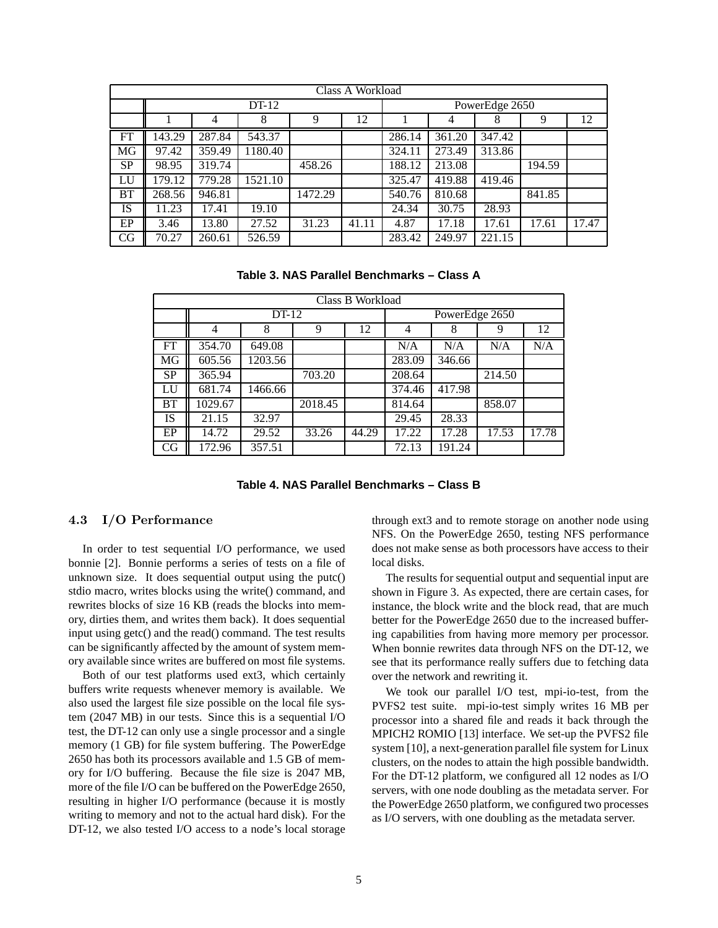| Class A Workload |        |        |                    |                |       |        |                     |        |        |       |
|------------------|--------|--------|--------------------|----------------|-------|--------|---------------------|--------|--------|-------|
| $DT-12$          |        |        |                    | PowerEdge 2650 |       |        |                     |        |        |       |
|                  |        | 4      | 8                  | 9              | 12    |        | 4                   | 8      | 9      | 12    |
| FT               | 143.29 | 287.84 | 543.37             |                |       | 286.14 | 361.20              | 347.42 |        |       |
| MG               | 97.42  | 359.49 | 1180.40            |                |       | 324.11 | $\overline{273.49}$ | 313.86 |        |       |
| <b>SP</b>        | 98.95  | 319.74 |                    | 458.26         |       | 188.12 | 213.08              |        | 194.59 |       |
| LU               | 179.12 | 779.28 | 1521.10            |                |       | 325.47 | 419.88              | 419.46 |        |       |
| <b>BT</b>        | 268.56 | 946.81 |                    | 1472.29        |       | 540.76 | 810.68              |        | 841.85 |       |
| IS               | 11.23  | 17.41  | $\overline{19.10}$ |                |       | 24.34  | 30.75               | 28.93  |        |       |
| EP               | 3.46   | 13.80  | 27.52              | 31.23          | 41.11 | 4.87   | 17.18               | 17.61  | 17.61  | 17.47 |
| CG               | 70.27  | 260.61 | 526.59             |                |       | 283.42 | 249.97              | 221.15 |        |       |

**Table 3. NAS Parallel Benchmarks – Class A**

| Class B Workload |         |                |         |       |        |        |        |       |
|------------------|---------|----------------|---------|-------|--------|--------|--------|-------|
|                  |         | PowerEdge 2650 |         |       |        |        |        |       |
|                  | 4       | 8              | 9       | 12    | 4      | 8      | 9      | 12    |
| <b>FT</b>        | 354.70  | 649.08         |         |       | N/A    | N/A    | N/A    | N/A   |
| MG               | 605.56  | 1203.56        |         |       | 283.09 | 346.66 |        |       |
| <b>SP</b>        | 365.94  |                | 703.20  |       | 208.64 |        | 214.50 |       |
| LU               | 681.74  | 1466.66        |         |       | 374.46 | 417.98 |        |       |
| BT               | 1029.67 |                | 2018.45 |       | 814.64 |        | 858.07 |       |
| <b>IS</b>        | 21.15   | 32.97          |         |       | 29.45  | 28.33  |        |       |
| EP               | 14.72   | 29.52          | 33.26   | 44.29 | 17.22  | 17.28  | 17.53  | 17.78 |
| CG               | 172.96  | 357.51         |         |       | 72.13  | 191.24 |        |       |

**Table 4. NAS Parallel Benchmarks – Class B**

#### 4.3 I/O Performance

In order to test sequential I/O performance, we used bonnie [2]. Bonnie performs a series of tests on a file of unknown size. It does sequential output using the putc() stdio macro, writes blocks using the write() command, and rewrites blocks of size 16 KB (reads the blocks into memory, dirties them, and writes them back). It does sequential input using getc() and the read() command. The test results can be significantly affected by the amount of system memory available since writes are buffered on most file systems.

Both of our test platforms used ext3, which certainly buffers write requests whenever memory is available. We also used the largest file size possible on the local file system (2047 MB) in our tests. Since this is a sequential I/O test, the DT-12 can only use a single processor and a single memory (1 GB) for file system buffering. The PowerEdge 2650 has both its processors available and 1.5 GB of memory for I/O buffering. Because the file size is 2047 MB, more of the file I/O can be buffered on the PowerEdge 2650, resulting in higher I/O performance (because it is mostly writing to memory and not to the actual hard disk). For the DT-12, we also tested I/O access to a node's local storage

through ext3 and to remote storage on another node using NFS. On the PowerEdge 2650, testing NFS performance does not make sense as both processors have access to their local disks.

The results for sequential output and sequential input are shown in Figure 3. As expected, there are certain cases, for instance, the block write and the block read, that are much better for the PowerEdge 2650 due to the increased buffering capabilities from having more memory per processor. When bonnie rewrites data through NFS on the DT-12, we see that its performance really suffers due to fetching data over the network and rewriting it.

We took our parallel I/O test, mpi-io-test, from the PVFS2 test suite. mpi-io-test simply writes 16 MB per processor into a shared file and reads it back through the MPICH2 ROMIO [13] interface. We set-up the PVFS2 file system [10], a next-generation parallel file system for Linux clusters, on the nodes to attain the high possible bandwidth. For the DT-12 platform, we configured all 12 nodes as I/O servers, with one node doubling as the metadata server. For the PowerEdge 2650 platform, we configured two processes as I/O servers, with one doubling as the metadata server.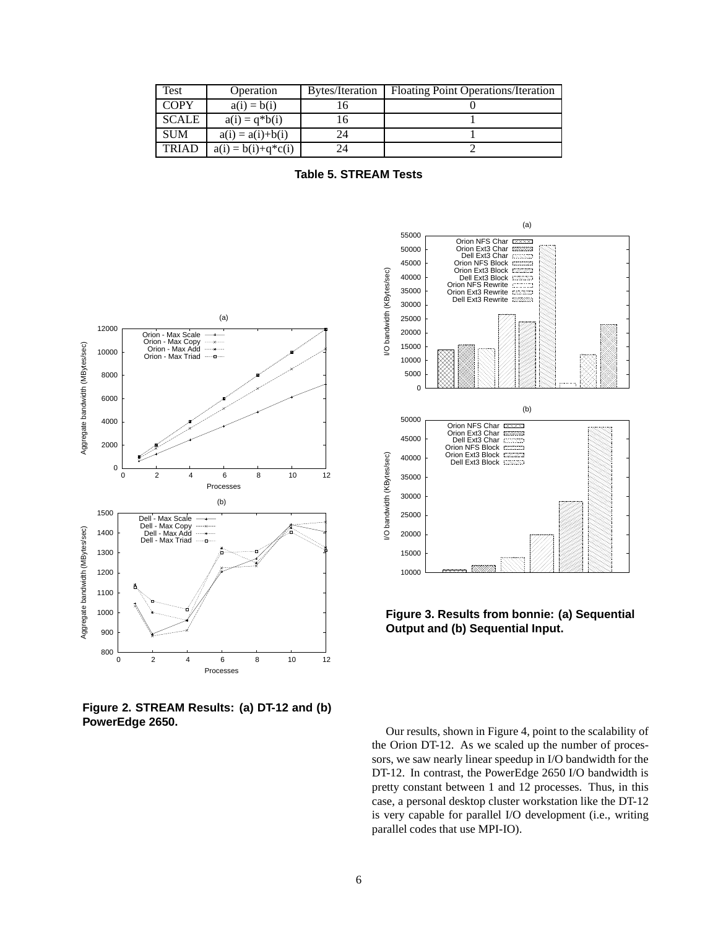| Test         | Operation                | Bytes/Iteration | Floating Point Operations/Iteration |
|--------------|--------------------------|-----------------|-------------------------------------|
| <b>COPY</b>  | $a(i) = b(i)$            |                 |                                     |
| <b>SCALE</b> | $a(i) = q * b(i)$        |                 |                                     |
| <b>SUM</b>   | $a(i) = a(i)+b(i)$       | 24              |                                     |
| <b>TRIAD</b> | $a(i) = b(i) + q * c(i)$ | 9Δ              |                                     |

**Table 5. STREAM Tests**



(a) 55000 Orion NFS Char Orion Ext3 Char Dell Ext3 Char Orion NFS Block 50000 45000 Orion Ext3 Block Dell Ext3 Block Orion NFS Rewrite Orion Ext3 Rewrite /O bandwidth (KBytes/sec) I/O bandwidth (KBytes/sec) 40000 35000 Dell Ext3 Rewrite 30000 25000 20000 15000 10000 5000  $\Omega$ (b) 50000 Orion NFS Char EXXXXI Orion Ext3 Char Dell Ext3 Char 45000  $CCTCT$ 37777 Orion NFS Block Orion Ext3 Block  $1577777$  40000 I/O bandwidth (KBytes/sec) I/O bandwidth (KBytes/sec) Dell Ext3 Block SSSSSS 35000 30000 25000 20000 15000 10000  $\overline{\mathbf{x}\mathbf{x}\mathbf{x}}\mathbf{x}$ 

**Figure 3. Results from bonnie: (a) Sequential Output and (b) Sequential Input.**

**Figure 2. STREAM Results: (a) DT-12 and (b) PowerEdge 2650.**

Our results, shown in Figure 4, point to the scalability of the Orion DT-12. As we scaled up the number of processors, we saw nearly linear speedup in I/O bandwidth for the DT-12. In contrast, the PowerEdge 2650 I/O bandwidth is pretty constant between 1 and 12 processes. Thus, in this case, a personal desktop cluster workstation like the DT-12 is very capable for parallel I/O development (i.e., writing parallel codes that use MPI-IO).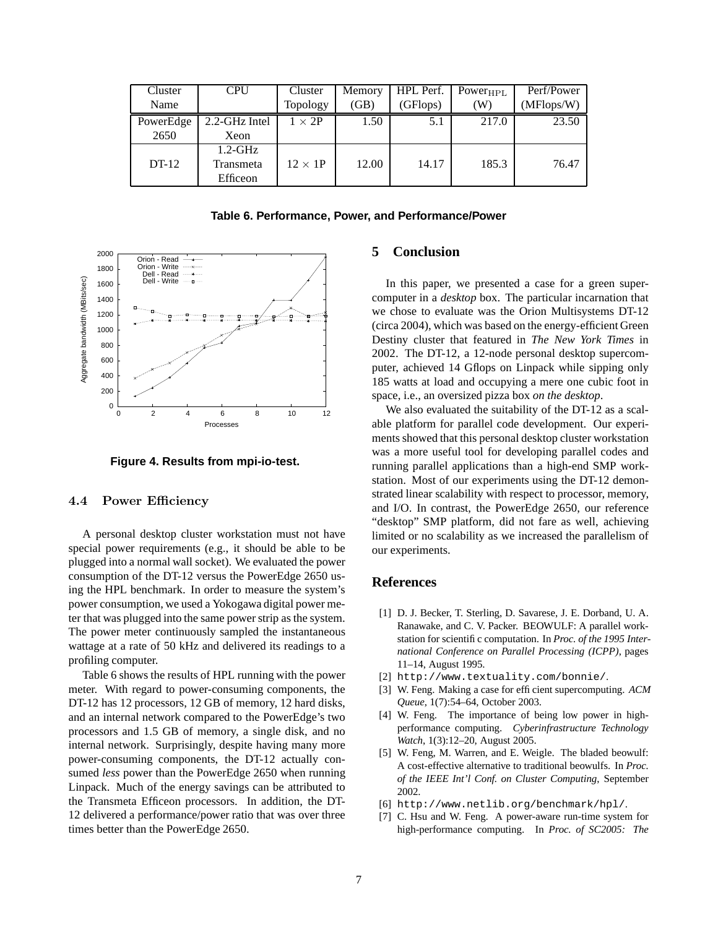| Cluster   | <b>CPU</b>    | Cluster         | Memory | HPL Perf. | $Power_{HPL}$ | Perf/Power |
|-----------|---------------|-----------------|--------|-----------|---------------|------------|
| Name      |               | Topology        | (GB)   | (GFlops)  | (W)           | (MFlops/W) |
| PowerEdge | 2.2-GHz Intel | $1 \times 2P$   | 1.50   | 5.1       | 217.0         | 23.50      |
| 2650      | Xeon          |                 |        |           |               |            |
|           | $1.2$ -GHz    |                 |        |           |               |            |
| DT-12     | Transmeta     | $12 \times 1$ P | 12.00  | 14.17     | 185.3         | 76.47      |
|           | Efficeon      |                 |        |           |               |            |

**Table 6. Performance, Power, and Performance/Power**



**Figure 4. Results from mpi-io-test.**

#### 4.4 Power Efficiency

A personal desktop cluster workstation must not have special power requirements (e.g., it should be able to be plugged into a normal wall socket). We evaluated the power consumption of the DT-12 versus the PowerEdge 2650 using the HPL benchmark. In order to measure the system's power consumption, we used a Yokogawa digital power meter that was plugged into the same powerstrip as the system. The power meter continuously sampled the instantaneous wattage at a rate of 50 kHz and delivered its readings to a profiling computer.

Table 6 shows the results of HPL running with the power meter. With regard to power-consuming components, the DT-12 has 12 processors, 12 GB of memory, 12 hard disks, and an internal network compared to the PowerEdge's two processors and 1.5 GB of memory, a single disk, and no internal network. Surprisingly, despite having many more power-consuming components, the DT-12 actually consumed *less* power than the PowerEdge 2650 when running Linpack. Much of the energy savings can be attributed to the Transmeta Efficeon processors. In addition, the DT-12 delivered a performance/power ratio that was over three times better than the PowerEdge 2650.

# **5 Conclusion**

In this paper, we presented a case for a green supercomputer in a *desktop* box. The particular incarnation that we chose to evaluate was the Orion Multisystems DT-12 (circa 2004), which was based on the energy-efficient Green Destiny cluster that featured in *The New York Times* in 2002. The DT-12, a 12-node personal desktop supercomputer, achieved 14 Gflops on Linpack while sipping only 185 watts at load and occupying a mere one cubic foot in space, i.e., an oversized pizza box *on the desktop*.

We also evaluated the suitability of the DT-12 as a scalable platform for parallel code development. Our experiments showed that this personal desktop cluster workstation was a more useful tool for developing parallel codes and running parallel applications than a high-end SMP workstation. Most of our experiments using the DT-12 demonstrated linear scalability with respect to processor, memory, and I/O. In contrast, the PowerEdge 2650, our reference "desktop" SMP platform, did not fare as well, achieving limited or no scalability as we increased the parallelism of our experiments.

#### **References**

- [1] D. J. Becker, T. Sterling, D. Savarese, J. E. Dorband, U. A. Ranawake, and C. V. Packer. BEOWULF: A parallel workstation for scientific computation. In *Proc. of the 1995 International Conference on Parallel Processing (ICPP)*, pages 11–14, August 1995.
- [2] http://www.textuality.com/bonnie/.
- [3] W. Feng. Making a case for efficient supercomputing. *ACM Queue*, 1(7):54–64, October 2003.
- [4] W. Feng. The importance of being low power in highperformance computing. *Cyberinfrastructure Technology Watch*, 1(3):12–20, August 2005.
- [5] W. Feng, M. Warren, and E. Weigle. The bladed beowulf: A cost-effective alternative to traditional beowulfs. In *Proc. of the IEEE Int'l Conf. on Cluster Computing*, September 2002.
- [6] http://www.netlib.org/benchmark/hpl/.
- [7] C. Hsu and W. Feng. A power-aware run-time system for high-performance computing. In *Proc. of SC2005: The*